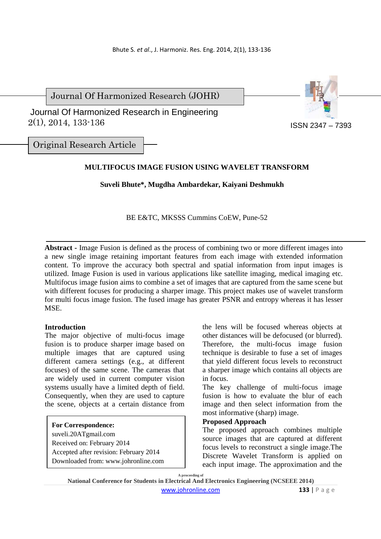Journal Of Harmonized Research (JOHR)

 2(1), 2014, 133-136 Journal Of Harmonized Research in Engineering



Original Research Article

# **MULTIFOCUS IMAGE FUSION USING WAVELET TRANSFORM**

# **Suveli Bhute\*, Mugdha Ambardekar, Kaiyani Deshmukh**

BE E&TC, MKSSS Cummins CoEW, Pune-52

**Abstract -** Image Fusion is defined as the process of combining two or more different images into a new single image retaining important features from each image with extended information content. To improve the accuracy both spectral and spatial information from input images is utilized. Image Fusion is used in various applications like satellite imaging, medical imaging etc. Multifocus image fusion aims to combine a set of images that are captured from the same scene but with different focuses for producing a sharper image. This project makes use of wavelet transform for multi focus image fusion. The fused image has greater PSNR and entropy whereas it has lesser MSE.

# **Introduction**

The major objective of multi-focus image fusion is to produce sharper image based on multiple images that are captured using different camera settings (e.g., at different focuses) of the same scene. The cameras that are widely used in current computer vision systems usually have a limited depth of field. Consequently, when they are used to capture the scene, objects at a certain distance from

## **For Correspondence:**

suveli.20ATgmail.com Received on: February 2014 Accepted after revision: February 2014 Downloaded from: www.johronline.com the lens will be focused whereas objects at other distances will be defocused (or blurred). Therefore, the multi-focus image fusion technique is desirable to fuse a set of images that yield different focus levels to reconstruct a sharper image which contains all objects are in focus.

The key challenge of multi-focus image fusion is how to evaluate the blur of each image and then select information from the most informative (sharp) image.

### **Proposed Approach**

The proposed approach combines multiple source images that are captured at different focus levels to reconstruct a single image.The Discrete Wavelet Transform is applied on each input image. The approximation and the

**A proceeding of**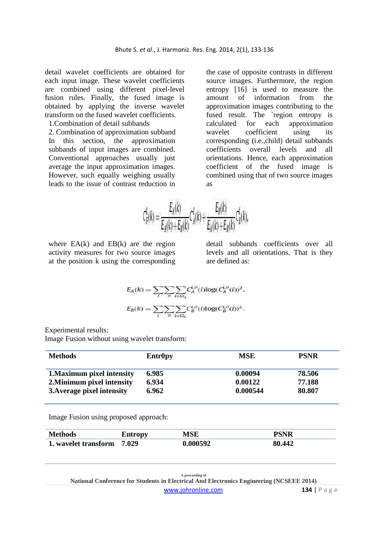detail wavelet coefficients are obtained for each input image. These wavelet coefficients are combined using different pixel-level fusion rules. Finally, the fused image is obtained by applying the inverse wavelet transform on the fused wavelet coefficients.

1.Combination of detail subbands

2. Combination of approximation subband In this section, the approximation subbands of input images are combined. Conventional approaches usually just average the input approximation images. However, such equally weighing usually leads to the issue of contrast reduction in

the case of opposite contrasts in different source images. Furthermore, the region entropy [16] is used to measure the amount of information from the approximation images contributing to the fused result. The `region entropy is calculated for each approximation wavelet coefficient using its corresponding (i.e.,child) detail subbands coefficients overall levels and all orientations. Hence, each approximation coefficient of the fused image is combined using that of two source images as

$$
\tau_F^L(k) = \frac{E_A(k)}{E_A(k) + E_B(k)} C_A^L(k) + \frac{E_B(k)}{E_A(k) + E_B(k)} C_B^L(k),
$$

where  $EA(k)$  and  $EB(k)$  are the region activity measures for two source images at the position k using the corresponding detail subbands coefficients over all levels and all orientations. That is they are defined as:

$$
E_A(k) = \sum_l \sum_{\theta} \sum_{i \in \Omega_k} C_A^{l,\theta}(i) \log(C_A^{l,\theta}(i))^2,
$$
  

$$
E_B(k) = \sum_l \sum_{\theta} \sum_{i \in \Omega_k} C_B^{l,\theta}(i) \log(C_B^{l,\theta}(i))^2.
$$

Experimental results:

Image Fusion without using wavelet transform:

| <b>Methods</b>             | <b>Entr0py</b> | <b>MSE</b> | <b>PSNR</b> |
|----------------------------|----------------|------------|-------------|
| 1. Maximum pixel intensity | 6.985          | 0.00094    | 78.506      |
| 2. Minimum pixel intensity | 6.934          | 0.00122    | 77.188      |
| 3. Average pixel intensity | 6.962          | 0.000544   | 80.807      |

Image Fusion using proposed approach:

| <b>Methods</b>       | <b>Entropy</b> | . IC D | DCNID  |
|----------------------|----------------|--------|--------|
| 1. wavelet transform | 7.029          |        | 80.442 |

**A proceeding of National Conference for Students in Electrical And Electronics Engineering (NCSEEE 2014)**  www.johronline.com **134** | P a g e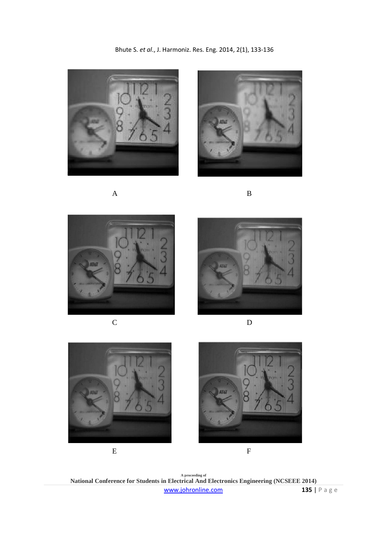



A B





C D









**A proceeding of National Conference for Students in Electrical And Electronics Engineering (NCSEEE 2014)**  www.johronline.com **135** | P a g e